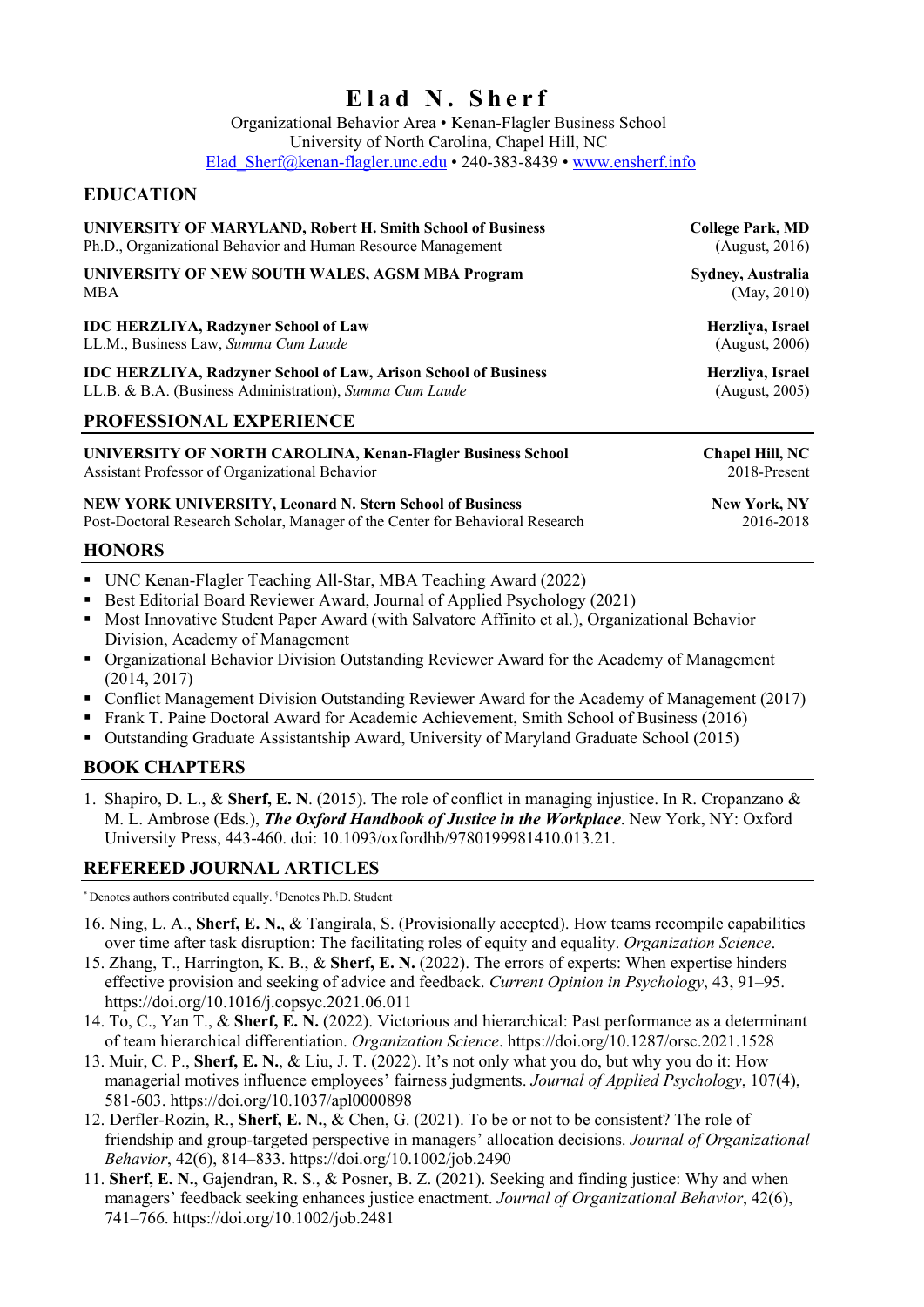# **Elad N. Sherf**

Organizational Behavior Area • Kenan-Flagler Business School University of North Carolina, Chapel Hill, NC Elad Sherf@kenan-flagler.unc.edu • 240-383-8439 • www.ensherf.info

# **EDUCATION**

| UNIVERSITY OF MARYLAND, Robert H. Smith School of Business                                                                                                        | <b>College Park, MD</b> |
|-------------------------------------------------------------------------------------------------------------------------------------------------------------------|-------------------------|
| Ph.D., Organizational Behavior and Human Resource Management                                                                                                      | (August, 2016)          |
| UNIVERSITY OF NEW SOUTH WALES, AGSM MBA Program                                                                                                                   | Sydney, Australia       |
| <b>MBA</b>                                                                                                                                                        | (May, 2010)             |
| <b>IDC HERZLIYA, Radzyner School of Law</b>                                                                                                                       | Herzliya, Israel        |
| LL.M., Business Law, Summa Cum Laude                                                                                                                              | (August, 2006)          |
| <b>IDC HERZLIYA, Radzyner School of Law, Arison School of Business</b>                                                                                            | Herzliya, Israel        |
| LL.B. & B.A. (Business Administration), Summa Cum Laude                                                                                                           | (August, 2005)          |
| PROFESSIONAL EXPERIENCE                                                                                                                                           |                         |
| UNIVERSITY OF NORTH CAROLINA, Kenan-Flagler Business School                                                                                                       | Chapel Hill, NC         |
| Assistant Professor of Organizational Behavior                                                                                                                    | 2018-Present            |
| <b>NEW YORK UNIVERSITY, Leonard N. Stern School of Business</b>                                                                                                   | New York, NY            |
| Post-Doctoral Research Scholar, Manager of the Center for Behavioral Research                                                                                     | 2016-2018               |
| <b>HONORS</b>                                                                                                                                                     |                         |
| • UNC Kenan-Flagler Teaching All-Star, MBA Teaching Award (2022)<br>Best Editorial Board Reviewer Award, Journal of Applied Psychology (2021)<br>$\blacksquare$ . |                         |

- Most Innovative Student Paper Award (with Salvatore Affinito et al.), Organizational Behavior Division, Academy of Management
- Organizational Behavior Division Outstanding Reviewer Award for the Academy of Management (2014, 2017)
- Conflict Management Division Outstanding Reviewer Award for the Academy of Management (2017)
- Frank T. Paine Doctoral Award for Academic Achievement, Smith School of Business (2016)
- Outstanding Graduate Assistantship Award, University of Maryland Graduate School (2015)

# **BOOK CHAPTERS**

1. Shapiro, D. L., & **Sherf, E. N**. (2015). The role of conflict in managing injustice. In R. Cropanzano & M. L. Ambrose (Eds.), *The Oxford Handbook of Justice in the Workplace*. New York, NY: Oxford University Press, 443-460. doi: 10.1093/oxfordhb/9780199981410.013.21.

### **REFEREED JOURNAL ARTICLES**

\* Denotes authors contributed equally. <sup>†</sup> Denotes Ph.D. Student

- 16. Ning, L. A., **Sherf, E. N.**, & Tangirala, S. (Provisionally accepted). How teams recompile capabilities over time after task disruption: The facilitating roles of equity and equality. *Organization Science*.
- 15. Zhang, T., Harrington, K. B., & **Sherf, E. N.** (2022). The errors of experts: When expertise hinders effective provision and seeking of advice and feedback. *Current Opinion in Psychology*, 43, 91–95. https://doi.org/10.1016/j.copsyc.2021.06.011
- 14. To, C., Yan T., & **Sherf, E. N.** (2022). Victorious and hierarchical: Past performance as a determinant of team hierarchical differentiation. *Organization Science*. https://doi.org/10.1287/orsc.2021.1528
- 13. Muir, C. P., **Sherf, E. N.**, & Liu, J. T. (2022). It's not only what you do, but why you do it: How managerial motives influence employees' fairness judgments. *Journal of Applied Psychology*, 107(4), 581-603. https://doi.org/10.1037/apl0000898
- 12. Derfler‐Rozin, R., **Sherf, E. N.**, & Chen, G. (2021). To be or not to be consistent? The role of friendship and group‐targeted perspective in managers' allocation decisions. *Journal of Organizational Behavior*, 42(6), 814–833. https://doi.org/10.1002/job.2490
- 11. **Sherf, E. N.**, Gajendran, R. S., & Posner, B. Z. (2021). Seeking and finding justice: Why and when managers' feedback seeking enhances justice enactment. *Journal of Organizational Behavior*, 42(6), 741–766. https://doi.org/10.1002/job.2481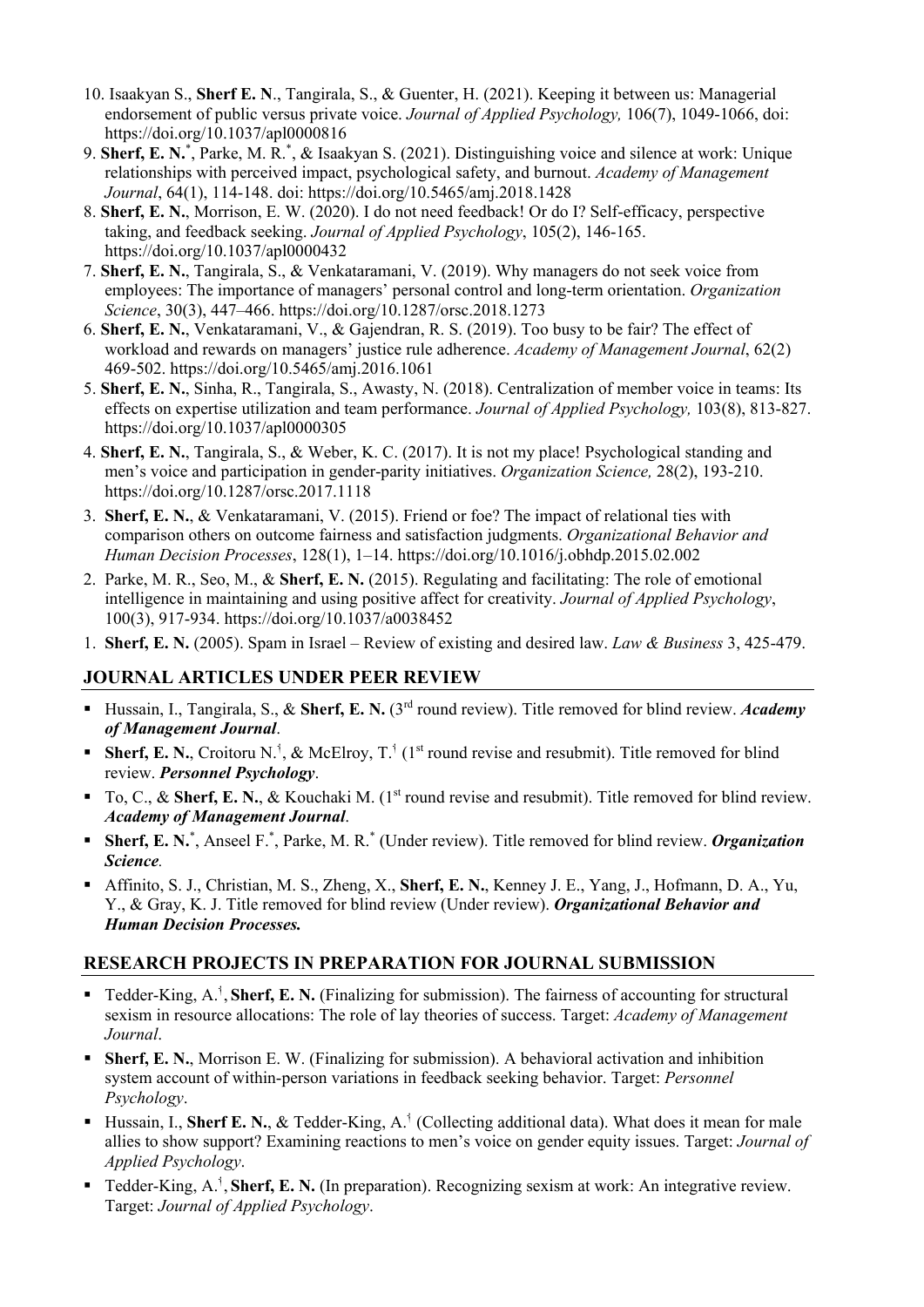- 10. Isaakyan S., **Sherf E. N**., Tangirala, S., & Guenter, H. (2021). Keeping it between us: Managerial endorsement of public versus private voice. *Journal of Applied Psychology,* 106(7), 1049-1066, doi: https://doi.org/10.1037/apl0000816
- 9. Sherf, E. N.<sup>\*</sup>, Parke, M. R.<sup>\*</sup>, & Isaakyan S. (2021). Distinguishing voice and silence at work: Unique relationships with perceived impact, psychological safety, and burnout. *Academy of Management Journal*, 64(1), 114-148. doi: https://doi.org/10.5465/amj.2018.1428
- 8. **Sherf, E. N.**, Morrison, E. W. (2020). I do not need feedback! Or do I? Self-efficacy, perspective taking, and feedback seeking. *Journal of Applied Psychology*, 105(2), 146-165. https://doi.org/10.1037/apl0000432
- 7. **Sherf, E. N.**, Tangirala, S., & Venkataramani, V. (2019). Why managers do not seek voice from employees: The importance of managers' personal control and long-term orientation. *Organization Science*, 30(3), 447–466. https://doi.org/10.1287/orsc.2018.1273
- 6. **Sherf, E. N.**, Venkataramani, V., & Gajendran, R. S. (2019). Too busy to be fair? The effect of workload and rewards on managers' justice rule adherence. *Academy of Management Journal*, 62(2) 469-502. https://doi.org/10.5465/amj.2016.1061
- 5. **Sherf, E. N.**, Sinha, R., Tangirala, S., Awasty, N. (2018). Centralization of member voice in teams: Its effects on expertise utilization and team performance. *Journal of Applied Psychology,* 103(8), 813-827. https://doi.org/10.1037/apl0000305
- 4. **Sherf, E. N.**, Tangirala, S., & Weber, K. C. (2017). It is not my place! Psychological standing and men's voice and participation in gender-parity initiatives. *Organization Science,* 28(2), 193-210. https://doi.org/10.1287/orsc.2017.1118
- 3. **Sherf, E. N.**, & Venkataramani, V. (2015). Friend or foe? The impact of relational ties with comparison others on outcome fairness and satisfaction judgments. *Organizational Behavior and Human Decision Processes*, 128(1), 1–14. https://doi.org/10.1016/j.obhdp.2015.02.002
- 2. Parke, M. R., Seo, M., & **Sherf, E. N.** (2015). Regulating and facilitating: The role of emotional intelligence in maintaining and using positive affect for creativity. *Journal of Applied Psychology*, 100(3), 917-934. https://doi.org/10.1037/a0038452
- 1. **Sherf, E. N.** (2005). Spam in Israel Review of existing and desired law. *Law & Business* 3, 425-479.

### **JOURNAL ARTICLES UNDER PEER REVIEW**

- Hussain, I., Tangirala, S., & **Sherf, E. N.** (3rd round review). Title removed for blind review. *Academy of Management Journal*.
- **Sherf, E. N.,** Croitoru N.<sup>†</sup>, & McElroy, T.<sup>†</sup> (1<sup>st</sup> round revise and resubmit). Title removed for blind review. *Personnel Psychology*.
- To, C., & **Sherf, E. N.**, & Kouchaki M. (1<sup>st</sup> round revise and resubmit). Title removed for blind review. *Academy of Management Journal*.
- **Sherf, E. N.**\*, Anseel F.\*, Parke, M. R.\* (Under review). Title removed for blind review. *Organization Science.*
- Affinito, S. J., Christian, M. S., Zheng, X., **Sherf, E. N.**, Kenney J. E., Yang, J., Hofmann, D. A., Yu, Y., & Gray, K. J. Title removed for blind review (Under review). *Organizational Behavior and Human Decision Processes.*

### **RESEARCH PROJECTS IN PREPARATION FOR JOURNAL SUBMISSION**

- Tedder-King, A.<sup>1</sup>, Sherf, E. N. (Finalizing for submission). The fairness of accounting for structural sexism in resource allocations: The role of lay theories of success. Target: *Academy of Management Journal*.
- **Sherf, E. N., Morrison E. W. (Finalizing for submission). A behavioral activation and inhibition** system account of within-person variations in feedback seeking behavior. Target: *Personnel Psychology*.
- Hussain, I., **Sherf E. N.**, & Tedder-King, A.<sup>†</sup> (Collecting additional data). What does it mean for male allies to show support? Examining reactions to men's voice on gender equity issues. Target: *Journal of Applied Psychology*.
- Tedder-King, A.<sup>1</sup>, Sherf, E. N. (In preparation). Recognizing sexism at work: An integrative review. Target: *Journal of Applied Psychology*.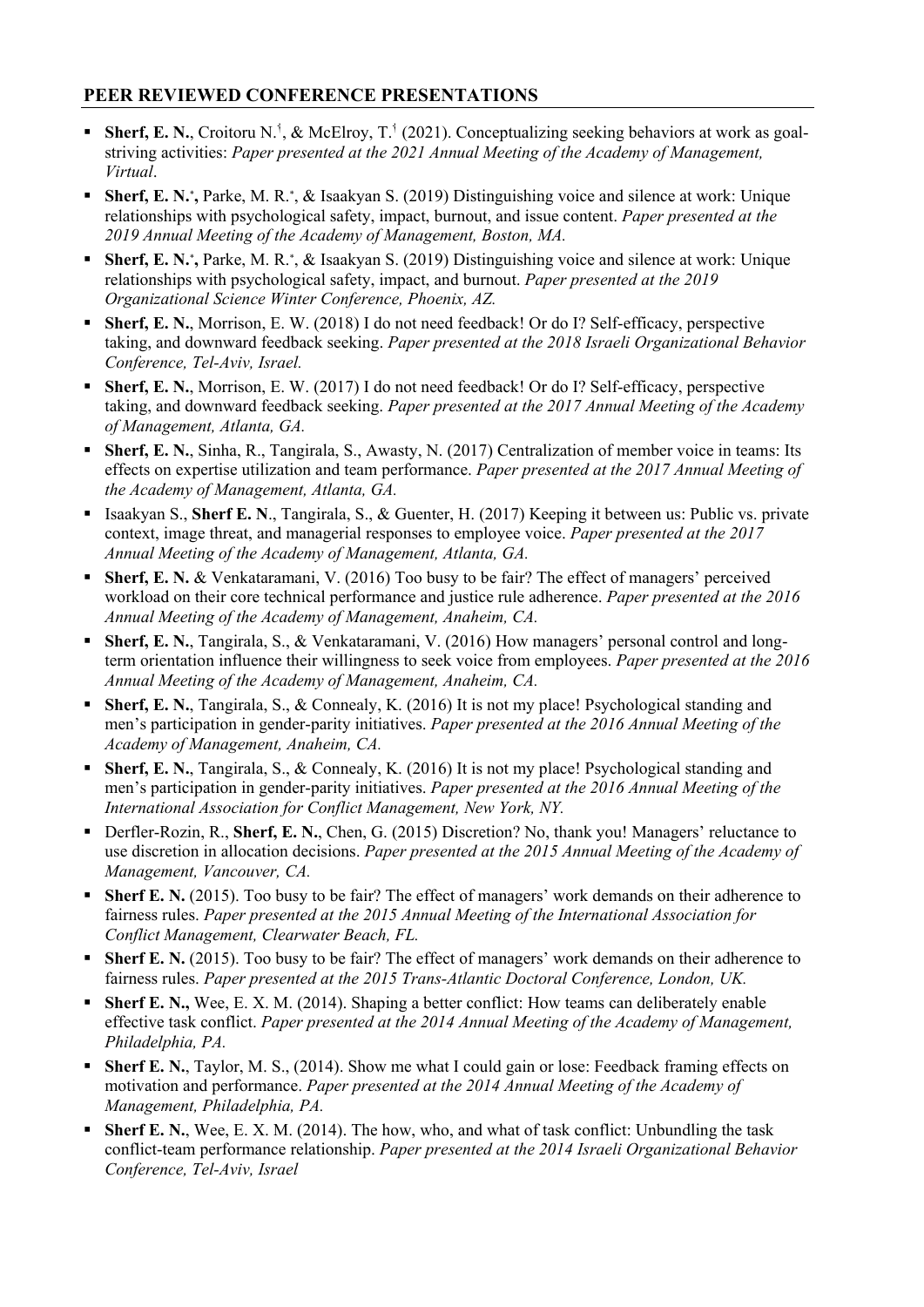# **PEER REVIEWED CONFERENCE PRESENTATIONS**

- Sherf, E. N., Croitoru N.<sup>i</sup>, & McElroy, T.<sup>i</sup> (2021). Conceptualizing seeking behaviors at work as goalstriving activities: *Paper presented at the 2021 Annual Meeting of the Academy of Management, Virtual*.
- **Sherf, E. N.**\***,** Parke, M. R.\*, & Isaakyan S. (2019) Distinguishing voice and silence at work: Unique relationships with psychological safety, impact, burnout, and issue content. *Paper presented at the 2019 Annual Meeting of the Academy of Management, Boston, MA.*
- **Sherf, E. N.**\***,** Parke, M. R.\*, & Isaakyan S. (2019) Distinguishing voice and silence at work: Unique relationships with psychological safety, impact, and burnout. *Paper presented at the 2019 Organizational Science Winter Conference, Phoenix, AZ.*
- **Sherf, E. N.**, Morrison, E. W. (2018) I do not need feedback! Or do I? Self-efficacy, perspective taking, and downward feedback seeking. *Paper presented at the 2018 Israeli Organizational Behavior Conference, Tel-Aviv, Israel.*
- **Sherf, E. N.**, Morrison, E. W. (2017) I do not need feedback! Or do I? Self-efficacy, perspective taking, and downward feedback seeking. *Paper presented at the 2017 Annual Meeting of the Academy of Management, Atlanta, GA.*
- **Sherf, E. N.**, Sinha, R., Tangirala, S., Awasty, N. (2017) Centralization of member voice in teams: Its effects on expertise utilization and team performance. *Paper presented at the 2017 Annual Meeting of the Academy of Management, Atlanta, GA.*
- Isaakyan S., **Sherf E. N**., Tangirala, S., & Guenter, H. (2017) Keeping it between us: Public vs. private context, image threat, and managerial responses to employee voice. *Paper presented at the 2017 Annual Meeting of the Academy of Management, Atlanta, GA.*
- **Sherf, E. N. & Venkataramani, V. (2016) Too busy to be fair? The effect of managers' perceived** workload on their core technical performance and justice rule adherence. *Paper presented at the 2016 Annual Meeting of the Academy of Management, Anaheim, CA.*
- **Sherf, E. N.**, Tangirala, S., & Venkataramani, V. (2016) How managers' personal control and longterm orientation influence their willingness to seek voice from employees. *Paper presented at the 2016 Annual Meeting of the Academy of Management, Anaheim, CA.*
- **Sherf, E. N.**, Tangirala, S., & Connealy, K. (2016) It is not my place! Psychological standing and men's participation in gender-parity initiatives. *Paper presented at the 2016 Annual Meeting of the Academy of Management, Anaheim, CA.*
- **Sherf, E. N.**, Tangirala, S., & Connealy, K. (2016) It is not my place! Psychological standing and men's participation in gender-parity initiatives. *Paper presented at the 2016 Annual Meeting of the International Association for Conflict Management, New York, NY.*
- Derfler-Rozin, R., **Sherf, E. N.**, Chen, G. (2015) Discretion? No, thank you! Managers' reluctance to use discretion in allocation decisions. *Paper presented at the 2015 Annual Meeting of the Academy of Management, Vancouver, CA.*
- **Sherf E. N.** (2015). Too busy to be fair? The effect of managers' work demands on their adherence to fairness rules. *Paper presented at the 2015 Annual Meeting of the International Association for Conflict Management, Clearwater Beach, FL.*
- **Sherf E. N.** (2015). Too busy to be fair? The effect of managers' work demands on their adherence to fairness rules. *Paper presented at the 2015 Trans-Atlantic Doctoral Conference, London, UK.*
- **Sherf E. N.,** Wee, E. X. M. (2014). Shaping a better conflict: How teams can deliberately enable effective task conflict. *Paper presented at the 2014 Annual Meeting of the Academy of Management, Philadelphia, PA.*
- **Sherf E. N., Taylor, M. S., (2014). Show me what I could gain or lose: Feedback framing effects on** motivation and performance. *Paper presented at the 2014 Annual Meeting of the Academy of Management, Philadelphia, PA.*
- **Sherf E. N.,** Wee, E. X. M. (2014). The how, who, and what of task conflict: Unbundling the task conflict-team performance relationship. *Paper presented at the 2014 Israeli Organizational Behavior Conference, Tel-Aviv, Israel*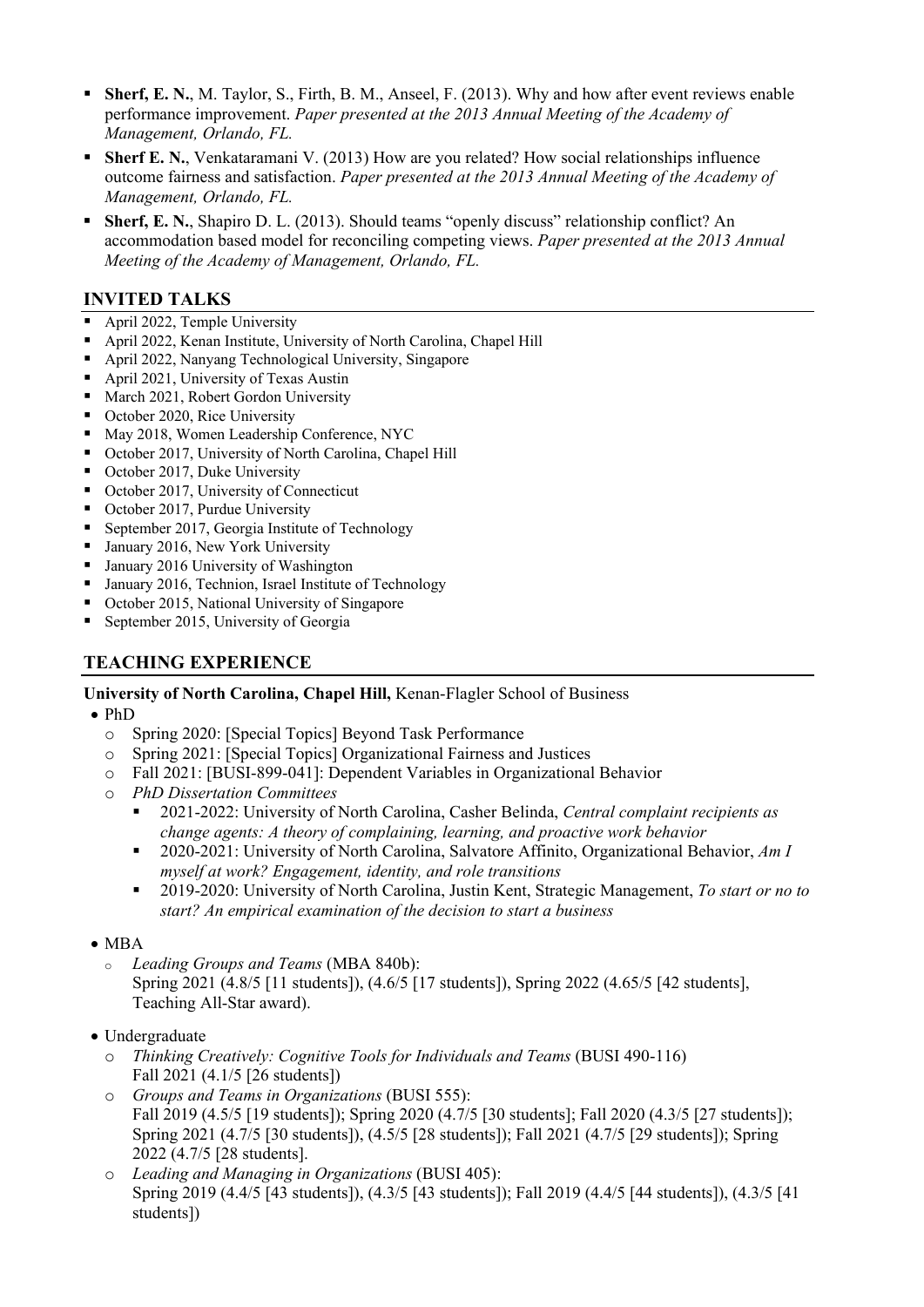- **Sherf, E. N.**, M. Taylor, S., Firth, B. M., Anseel, F. (2013). Why and how after event reviews enable performance improvement. *Paper presented at the 2013 Annual Meeting of the Academy of Management, Orlando, FL.*
- **Sherf E. N.**, Venkataramani V. (2013) How are you related? How social relationships influence outcome fairness and satisfaction. *Paper presented at the 2013 Annual Meeting of the Academy of Management, Orlando, FL.*
- **Sherf, E. N.**, Shapiro D. L. (2013). Should teams "openly discuss" relationship conflict? An accommodation based model for reconciling competing views. *Paper presented at the 2013 Annual Meeting of the Academy of Management, Orlando, FL.*

# **INVITED TALKS**

- April 2022, Temple University
- April 2022, Kenan Institute, University of North Carolina, Chapel Hill
- April 2022, Nanyang Technological University, Singapore
- April 2021, University of Texas Austin
- March 2021, Robert Gordon University
- October 2020, Rice University
- May 2018, Women Leadership Conference, NYC
- October 2017, University of North Carolina, Chapel Hill
- October 2017, Duke University
- October 2017, University of Connecticut
- October 2017, Purdue University
- September 2017, Georgia Institute of Technology
- January 2016, New York University
- January 2016 University of Washington
- January 2016, Technion, Israel Institute of Technology
- October 2015, National University of Singapore
- September 2015, University of Georgia

# **TEACHING EXPERIENCE**

### **University of North Carolina, Chapel Hill,** Kenan-Flagler School of Business

- PhD
	- o Spring 2020: [Special Topics] Beyond Task Performance
	- o Spring 2021: [Special Topics] Organizational Fairness and Justices
	- o Fall 2021: [BUSI-899-041]: Dependent Variables in Organizational Behavior
	- o *PhD Dissertation Committees*
		- 2021-2022: University of North Carolina, Casher Belinda, *Central complaint recipients as change agents: A theory of complaining, learning, and proactive work behavior*
		- 2020-2021: University of North Carolina, Salvatore Affinito, Organizational Behavior, *Am I myself at work? Engagement, identity, and role transitions*
		- 2019-2020: University of North Carolina, Justin Kent, Strategic Management, *To start or no to start? An empirical examination of the decision to start a business*
- MBA
	- <sup>o</sup> *Leading Groups and Teams* (MBA 840b): Spring 2021 (4.8/5 [11 students]), (4.6/5 [17 students]), Spring 2022 (4.65/5 [42 students], Teaching All-Star award).
- Undergraduate
	- o *Thinking Creatively: Cognitive Tools for Individuals and Teams* (BUSI 490-116) Fall 2021 (4.1/5 [26 students])
	- o *Groups and Teams in Organizations* (BUSI 555): Fall 2019 (4.5/5 [19 students]); Spring 2020 (4.7/5 [30 students]; Fall 2020 (4.3/5 [27 students]); Spring 2021 (4.7/5 [30 students]), (4.5/5 [28 students]); Fall 2021 (4.7/5 [29 students]); Spring 2022 (4.7/5 [28 students].
	- o *Leading and Managing in Organizations* (BUSI 405): Spring 2019 (4.4/5 [43 students]), (4.3/5 [43 students]); Fall 2019 (4.4/5 [44 students]), (4.3/5 [41 students])